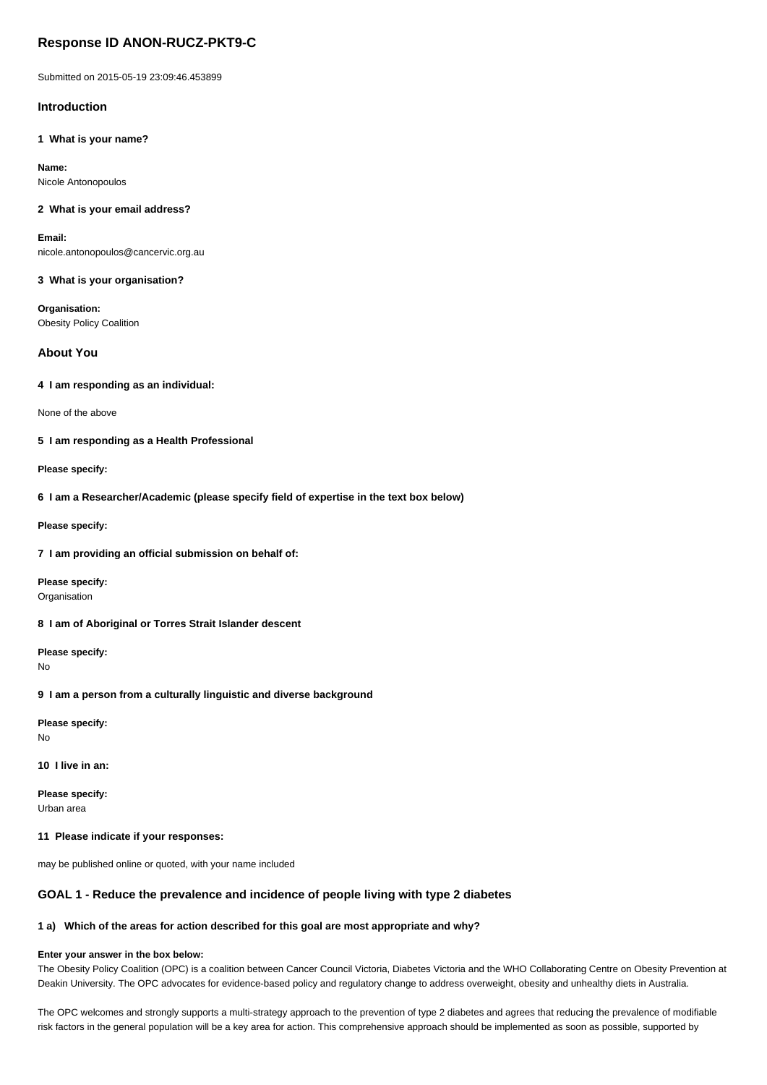# **Response ID ANON-RUCZ-PKT9-C**

Submitted on 2015-05-19 23:09:46.453899

# **Introduction**

**1 What is your name?**

**Name:** Nicole Antonopoulos

### **2 What is your email address?**

**Email:** nicole.antonopoulos@cancervic.org.au

**3 What is your organisation?**

**Organisation:** Obesity Policy Coalition

# **About You**

**4 I am responding as an individual:**

None of the above

**5 I am responding as a Health Professional**

**Please specify:**

**6 I am a Researcher/Academic (please specify field of expertise in the text box below)**

**Please specify:**

**7 I am providing an official submission on behalf of:**

**Please specify: Organisation** 

**8 I am of Aboriginal or Torres Strait Islander descent**

**Please specify:** No

# **9 I am a person from a culturally linguistic and diverse background**

**Please specify:** No

**10 I live in an:**

**Please specify:** Urban area

### **11 Please indicate if your responses:**

may be published online or quoted, with your name included

# **GOAL 1 - Reduce the prevalence and incidence of people living with type 2 diabetes**

## **1 a) Which of the areas for action described for this goal are most appropriate and why?**

### **Enter your answer in the box below:**

The Obesity Policy Coalition (OPC) is a coalition between Cancer Council Victoria, Diabetes Victoria and the WHO Collaborating Centre on Obesity Prevention at Deakin University. The OPC advocates for evidence-based policy and regulatory change to address overweight, obesity and unhealthy diets in Australia.

The OPC welcomes and strongly supports a multi-strategy approach to the prevention of type 2 diabetes and agrees that reducing the prevalence of modifiable risk factors in the general population will be a key area for action. This comprehensive approach should be implemented as soon as possible, supported by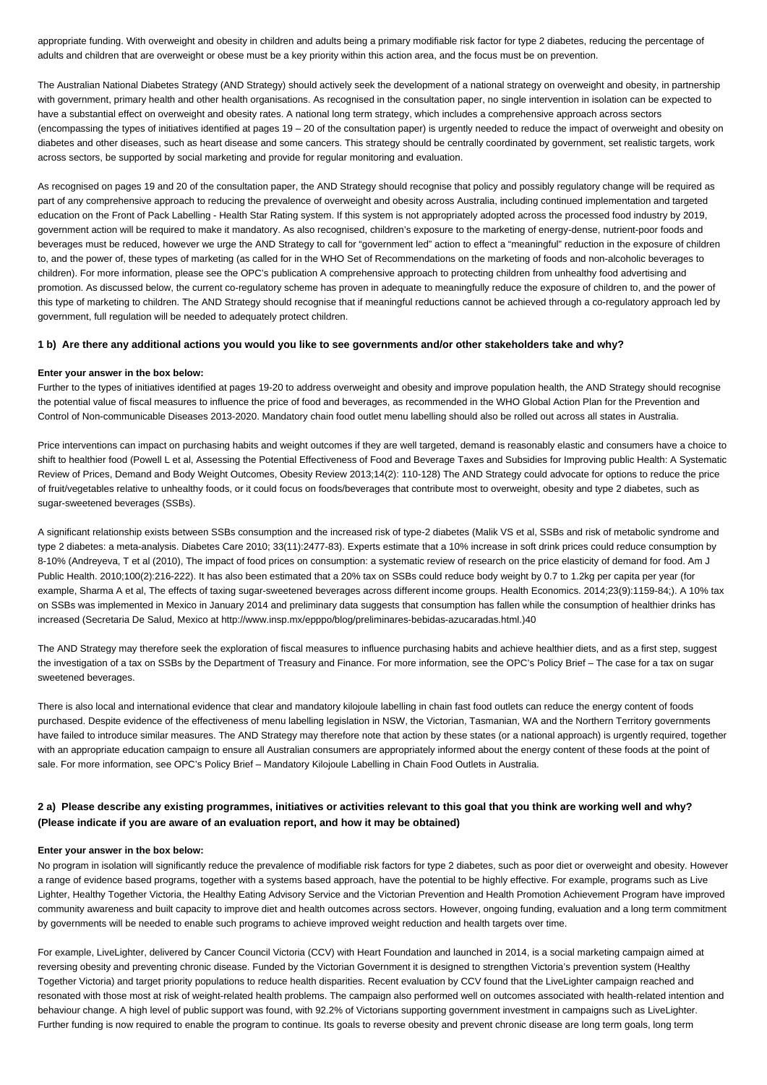appropriate funding. With overweight and obesity in children and adults being a primary modifiable risk factor for type 2 diabetes, reducing the percentage of adults and children that are overweight or obese must be a key priority within this action area, and the focus must be on prevention.

The Australian National Diabetes Strategy (AND Strategy) should actively seek the development of a national strategy on overweight and obesity, in partnership with government, primary health and other health organisations. As recognised in the consultation paper, no single intervention in isolation can be expected to have a substantial effect on overweight and obesity rates. A national long term strategy, which includes a comprehensive approach across sectors (encompassing the types of initiatives identified at pages 19 – 20 of the consultation paper) is urgently needed to reduce the impact of overweight and obesity on diabetes and other diseases, such as heart disease and some cancers. This strategy should be centrally coordinated by government, set realistic targets, work across sectors, be supported by social marketing and provide for regular monitoring and evaluation.

As recognised on pages 19 and 20 of the consultation paper, the AND Strategy should recognise that policy and possibly regulatory change will be required as part of any comprehensive approach to reducing the prevalence of overweight and obesity across Australia, including continued implementation and targeted education on the Front of Pack Labelling - Health Star Rating system. If this system is not appropriately adopted across the processed food industry by 2019, government action will be required to make it mandatory. As also recognised, children's exposure to the marketing of energy-dense, nutrient-poor foods and beverages must be reduced, however we urge the AND Strategy to call for "government led" action to effect a "meaningful" reduction in the exposure of children to, and the power of, these types of marketing (as called for in the WHO Set of Recommendations on the marketing of foods and non-alcoholic beverages to children). For more information, please see the OPC's publication A comprehensive approach to protecting children from unhealthy food advertising and promotion. As discussed below, the current co-regulatory scheme has proven in adequate to meaningfully reduce the exposure of children to, and the power of this type of marketing to children. The AND Strategy should recognise that if meaningful reductions cannot be achieved through a co-regulatory approach led by government, full regulation will be needed to adequately protect children.

### **1 b) Are there any additional actions you would you like to see governments and/or other stakeholders take and why?**

#### **Enter your answer in the box below:**

Further to the types of initiatives identified at pages 19-20 to address overweight and obesity and improve population health, the AND Strategy should recognise the potential value of fiscal measures to influence the price of food and beverages, as recommended in the WHO Global Action Plan for the Prevention and Control of Non-communicable Diseases 2013-2020. Mandatory chain food outlet menu labelling should also be rolled out across all states in Australia.

Price interventions can impact on purchasing habits and weight outcomes if they are well targeted, demand is reasonably elastic and consumers have a choice to shift to healthier food (Powell L et al, Assessing the Potential Effectiveness of Food and Beverage Taxes and Subsidies for Improving public Health: A Systematic Review of Prices, Demand and Body Weight Outcomes, Obesity Review 2013;14(2): 110-128) The AND Strategy could advocate for options to reduce the price of fruit/vegetables relative to unhealthy foods, or it could focus on foods/beverages that contribute most to overweight, obesity and type 2 diabetes, such as sugar-sweetened beverages (SSBs).

A significant relationship exists between SSBs consumption and the increased risk of type-2 diabetes (Malik VS et al, SSBs and risk of metabolic syndrome and type 2 diabetes: a meta-analysis. Diabetes Care 2010; 33(11):2477-83). Experts estimate that a 10% increase in soft drink prices could reduce consumption by 8-10% (Andreyeva, T et al (2010), The impact of food prices on consumption: a systematic review of research on the price elasticity of demand for food. Am J Public Health. 2010;100(2):216-222). It has also been estimated that a 20% tax on SSBs could reduce body weight by 0.7 to 1.2kg per capita per year (for example, Sharma A et al, The effects of taxing sugar-sweetened beverages across different income groups. Health Economics. 2014;23(9):1159-84;). A 10% tax on SSBs was implemented in Mexico in January 2014 and preliminary data suggests that consumption has fallen while the consumption of healthier drinks has increased (Secretaria De Salud, Mexico at http://www.insp.mx/epppo/blog/preliminares-bebidas-azucaradas.html.)40

The AND Strategy may therefore seek the exploration of fiscal measures to influence purchasing habits and achieve healthier diets, and as a first step, suggest the investigation of a tax on SSBs by the Department of Treasury and Finance. For more information, see the OPC's Policy Brief – The case for a tax on sugar sweetened beverages.

There is also local and international evidence that clear and mandatory kilojoule labelling in chain fast food outlets can reduce the energy content of foods purchased. Despite evidence of the effectiveness of menu labelling legislation in NSW, the Victorian, Tasmanian, WA and the Northern Territory governments have failed to introduce similar measures. The AND Strategy may therefore note that action by these states (or a national approach) is urgently required, together with an appropriate education campaign to ensure all Australian consumers are appropriately informed about the energy content of these foods at the point of sale. For more information, see OPC's Policy Brief – Mandatory Kilojoule Labelling in Chain Food Outlets in Australia.

## **2 a) Please describe any existing programmes, initiatives or activities relevant to this goal that you think are working well and why? (Please indicate if you are aware of an evaluation report, and how it may be obtained)**

### **Enter your answer in the box below:**

No program in isolation will significantly reduce the prevalence of modifiable risk factors for type 2 diabetes, such as poor diet or overweight and obesity. However a range of evidence based programs, together with a systems based approach, have the potential to be highly effective. For example, programs such as Live Lighter, Healthy Together Victoria, the Healthy Eating Advisory Service and the Victorian Prevention and Health Promotion Achievement Program have improved community awareness and built capacity to improve diet and health outcomes across sectors. However, ongoing funding, evaluation and a long term commitment by governments will be needed to enable such programs to achieve improved weight reduction and health targets over time.

For example, LiveLighter, delivered by Cancer Council Victoria (CCV) with Heart Foundation and launched in 2014, is a social marketing campaign aimed at reversing obesity and preventing chronic disease. Funded by the Victorian Government it is designed to strengthen Victoria's prevention system (Healthy Together Victoria) and target priority populations to reduce health disparities. Recent evaluation by CCV found that the LiveLighter campaign reached and resonated with those most at risk of weight-related health problems. The campaign also performed well on outcomes associated with health-related intention and behaviour change. A high level of public support was found, with 92.2% of Victorians supporting government investment in campaigns such as LiveLighter. Further funding is now required to enable the program to continue. Its goals to reverse obesity and prevent chronic disease are long term goals, long term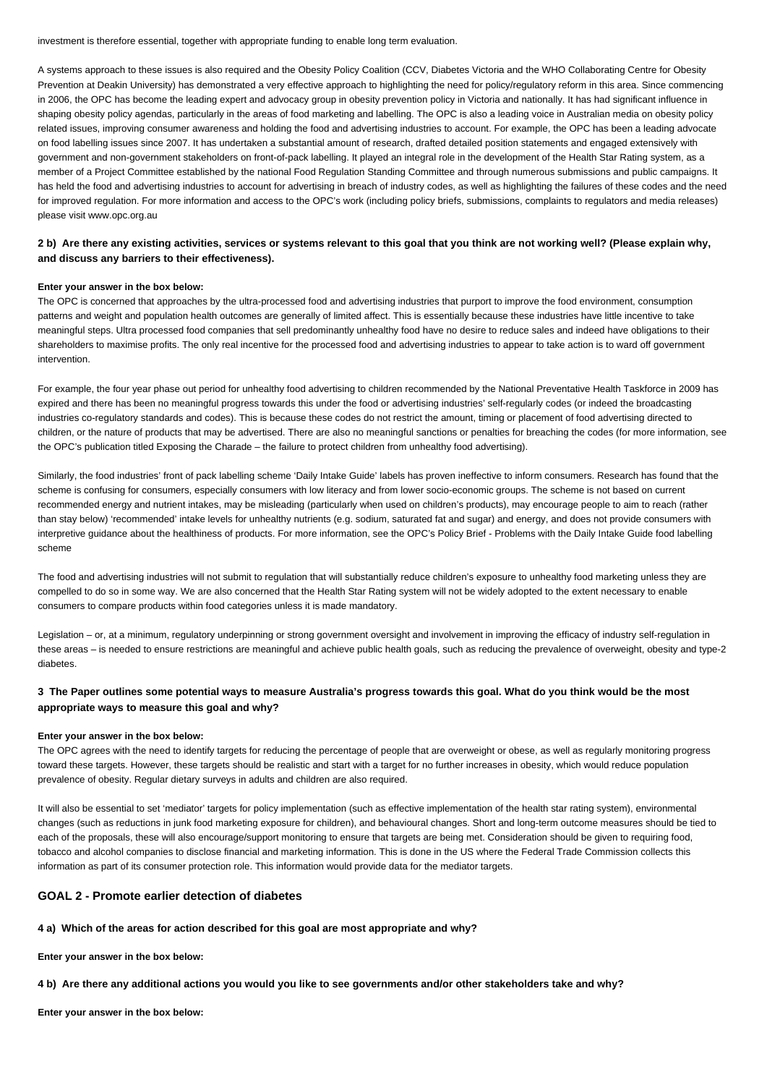investment is therefore essential, together with appropriate funding to enable long term evaluation.

A systems approach to these issues is also required and the Obesity Policy Coalition (CCV, Diabetes Victoria and the WHO Collaborating Centre for Obesity Prevention at Deakin University) has demonstrated a very effective approach to highlighting the need for policy/regulatory reform in this area. Since commencing in 2006, the OPC has become the leading expert and advocacy group in obesity prevention policy in Victoria and nationally. It has had significant influence in shaping obesity policy agendas, particularly in the areas of food marketing and labelling. The OPC is also a leading voice in Australian media on obesity policy related issues, improving consumer awareness and holding the food and advertising industries to account. For example, the OPC has been a leading advocate on food labelling issues since 2007. It has undertaken a substantial amount of research, drafted detailed position statements and engaged extensively with government and non-government stakeholders on front-of-pack labelling. It played an integral role in the development of the Health Star Rating system, as a member of a Project Committee established by the national Food Regulation Standing Committee and through numerous submissions and public campaigns. It has held the food and advertising industries to account for advertising in breach of industry codes, as well as highlighting the failures of these codes and the need for improved regulation. For more information and access to the OPC's work (including policy briefs, submissions, complaints to regulators and media releases) please visit www.opc.org.au

# **2 b) Are there any existing activities, services or systems relevant to this goal that you think are not working well? (Please explain why, and discuss any barriers to their effectiveness).**

#### **Enter your answer in the box below:**

The OPC is concerned that approaches by the ultra-processed food and advertising industries that purport to improve the food environment, consumption patterns and weight and population health outcomes are generally of limited affect. This is essentially because these industries have little incentive to take meaningful steps. Ultra processed food companies that sell predominantly unhealthy food have no desire to reduce sales and indeed have obligations to their shareholders to maximise profits. The only real incentive for the processed food and advertising industries to appear to take action is to ward off government intervention.

For example, the four year phase out period for unhealthy food advertising to children recommended by the National Preventative Health Taskforce in 2009 has expired and there has been no meaningful progress towards this under the food or advertising industries' self-regularly codes (or indeed the broadcasting industries co-regulatory standards and codes). This is because these codes do not restrict the amount, timing or placement of food advertising directed to children, or the nature of products that may be advertised. There are also no meaningful sanctions or penalties for breaching the codes (for more information, see the OPC's publication titled Exposing the Charade – the failure to protect children from unhealthy food advertising).

Similarly, the food industries' front of pack labelling scheme 'Daily Intake Guide' labels has proven ineffective to inform consumers. Research has found that the scheme is confusing for consumers, especially consumers with low literacy and from lower socio-economic groups. The scheme is not based on current recommended energy and nutrient intakes, may be misleading (particularly when used on children's products), may encourage people to aim to reach (rather than stay below) 'recommended' intake levels for unhealthy nutrients (e.g. sodium, saturated fat and sugar) and energy, and does not provide consumers with interpretive guidance about the healthiness of products. For more information, see the OPC's Policy Brief - Problems with the Daily Intake Guide food labelling scheme

The food and advertising industries will not submit to regulation that will substantially reduce children's exposure to unhealthy food marketing unless they are compelled to do so in some way. We are also concerned that the Health Star Rating system will not be widely adopted to the extent necessary to enable consumers to compare products within food categories unless it is made mandatory.

Legislation – or, at a minimum, regulatory underpinning or strong government oversight and involvement in improving the efficacy of industry self-regulation in these areas – is needed to ensure restrictions are meaningful and achieve public health goals, such as reducing the prevalence of overweight, obesity and type-2 diabetes.

# **3 The Paper outlines some potential ways to measure Australia's progress towards this goal. What do you think would be the most appropriate ways to measure this goal and why?**

#### **Enter your answer in the box below:**

The OPC agrees with the need to identify targets for reducing the percentage of people that are overweight or obese, as well as regularly monitoring progress toward these targets. However, these targets should be realistic and start with a target for no further increases in obesity, which would reduce population prevalence of obesity. Regular dietary surveys in adults and children are also required.

It will also be essential to set 'mediator' targets for policy implementation (such as effective implementation of the health star rating system), environmental changes (such as reductions in junk food marketing exposure for children), and behavioural changes. Short and long-term outcome measures should be tied to each of the proposals, these will also encourage/support monitoring to ensure that targets are being met. Consideration should be given to requiring food, tobacco and alcohol companies to disclose financial and marketing information. This is done in the US where the Federal Trade Commission collects this information as part of its consumer protection role. This information would provide data for the mediator targets.

### **GOAL 2 - Promote earlier detection of diabetes**

#### **4 a) Which of the areas for action described for this goal are most appropriate and why?**

**Enter your answer in the box below:**

**4 b) Are there any additional actions you would you like to see governments and/or other stakeholders take and why?**

**Enter your answer in the box below:**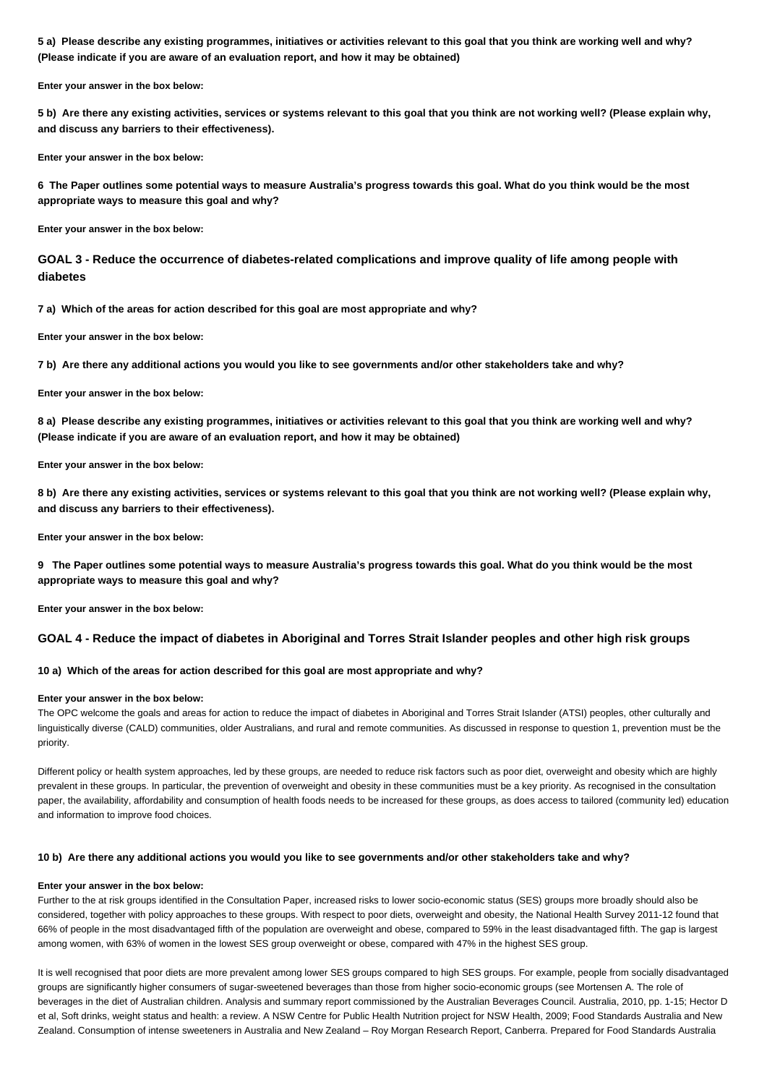**5 a) Please describe any existing programmes, initiatives or activities relevant to this goal that you think are working well and why? (Please indicate if you are aware of an evaluation report, and how it may be obtained)**

**Enter your answer in the box below:**

**5 b) Are there any existing activities, services or systems relevant to this goal that you think are not working well? (Please explain why, and discuss any barriers to their effectiveness).**

**Enter your answer in the box below:**

**6 The Paper outlines some potential ways to measure Australia's progress towards this goal. What do you think would be the most appropriate ways to measure this goal and why?**

**Enter your answer in the box below:**

**GOAL 3 - Reduce the occurrence of diabetes-related complications and improve quality of life among people with diabetes**

**7 a) Which of the areas for action described for this goal are most appropriate and why?**

**Enter your answer in the box below:**

**7 b) Are there any additional actions you would you like to see governments and/or other stakeholders take and why?**

**Enter your answer in the box below:**

**8 a) Please describe any existing programmes, initiatives or activities relevant to this goal that you think are working well and why? (Please indicate if you are aware of an evaluation report, and how it may be obtained)**

**Enter your answer in the box below:**

**8 b) Are there any existing activities, services or systems relevant to this goal that you think are not working well? (Please explain why, and discuss any barriers to their effectiveness).**

**Enter your answer in the box below:**

**9 The Paper outlines some potential ways to measure Australia's progress towards this goal. What do you think would be the most appropriate ways to measure this goal and why?**

**Enter your answer in the box below:**

### **GOAL 4 - Reduce the impact of diabetes in Aboriginal and Torres Strait Islander peoples and other high risk groups**

### **10 a) Which of the areas for action described for this goal are most appropriate and why?**

### **Enter your answer in the box below:**

The OPC welcome the goals and areas for action to reduce the impact of diabetes in Aboriginal and Torres Strait Islander (ATSI) peoples, other culturally and linguistically diverse (CALD) communities, older Australians, and rural and remote communities. As discussed in response to question 1, prevention must be the priority.

Different policy or health system approaches, led by these groups, are needed to reduce risk factors such as poor diet, overweight and obesity which are highly prevalent in these groups. In particular, the prevention of overweight and obesity in these communities must be a key priority. As recognised in the consultation paper, the availability, affordability and consumption of health foods needs to be increased for these groups, as does access to tailored (community led) education and information to improve food choices.

### **10 b) Are there any additional actions you would you like to see governments and/or other stakeholders take and why?**

#### **Enter your answer in the box below:**

Further to the at risk groups identified in the Consultation Paper, increased risks to lower socio-economic status (SES) groups more broadly should also be considered, together with policy approaches to these groups. With respect to poor diets, overweight and obesity, the National Health Survey 2011-12 found that 66% of people in the most disadvantaged fifth of the population are overweight and obese, compared to 59% in the least disadvantaged fifth. The gap is largest among women, with 63% of women in the lowest SES group overweight or obese, compared with 47% in the highest SES group.

It is well recognised that poor diets are more prevalent among lower SES groups compared to high SES groups. For example, people from socially disadvantaged groups are significantly higher consumers of sugar-sweetened beverages than those from higher socio-economic groups (see Mortensen A. The role of beverages in the diet of Australian children. Analysis and summary report commissioned by the Australian Beverages Council. Australia, 2010, pp. 1-15; Hector D et al, Soft drinks, weight status and health: a review. A NSW Centre for Public Health Nutrition project for NSW Health, 2009; Food Standards Australia and New Zealand. Consumption of intense sweeteners in Australia and New Zealand – Roy Morgan Research Report, Canberra. Prepared for Food Standards Australia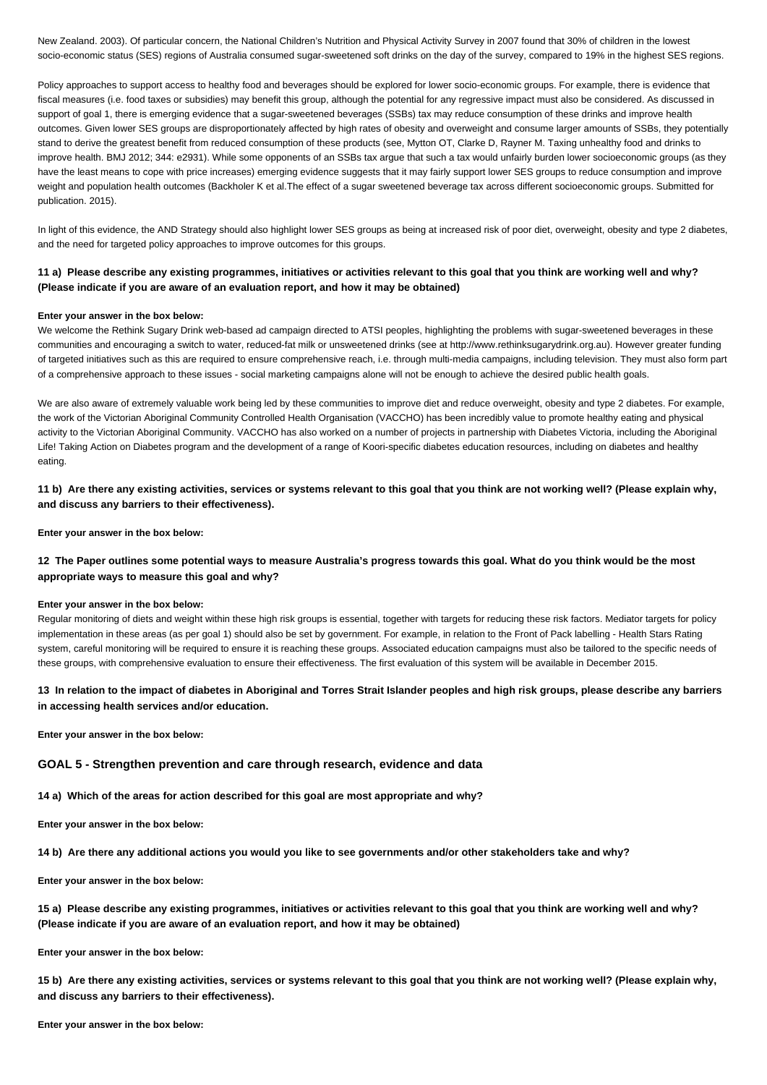New Zealand. 2003). Of particular concern, the National Children's Nutrition and Physical Activity Survey in 2007 found that 30% of children in the lowest socio-economic status (SES) regions of Australia consumed sugar-sweetened soft drinks on the day of the survey, compared to 19% in the highest SES regions.

Policy approaches to support access to healthy food and beverages should be explored for lower socio-economic groups. For example, there is evidence that fiscal measures (i.e. food taxes or subsidies) may benefit this group, although the potential for any regressive impact must also be considered. As discussed in support of goal 1, there is emerging evidence that a sugar-sweetened beverages (SSBs) tax may reduce consumption of these drinks and improve health outcomes. Given lower SES groups are disproportionately affected by high rates of obesity and overweight and consume larger amounts of SSBs, they potentially stand to derive the greatest benefit from reduced consumption of these products (see, Mytton OT, Clarke D, Rayner M. Taxing unhealthy food and drinks to improve health. BMJ 2012; 344: e2931). While some opponents of an SSBs tax argue that such a tax would unfairly burden lower socioeconomic groups (as they have the least means to cope with price increases) emerging evidence suggests that it may fairly support lower SES groups to reduce consumption and improve weight and population health outcomes (Backholer K et al.The effect of a sugar sweetened beverage tax across different socioeconomic groups. Submitted for publication. 2015).

In light of this evidence, the AND Strategy should also highlight lower SES groups as being at increased risk of poor diet, overweight, obesity and type 2 diabetes, and the need for targeted policy approaches to improve outcomes for this groups.

# **11 a) Please describe any existing programmes, initiatives or activities relevant to this goal that you think are working well and why? (Please indicate if you are aware of an evaluation report, and how it may be obtained)**

### **Enter your answer in the box below:**

We welcome the Rethink Sugary Drink web-based ad campaign directed to ATSI peoples, highlighting the problems with sugar-sweetened beverages in these communities and encouraging a switch to water, reduced-fat milk or unsweetened drinks (see at http://www.rethinksugarydrink.org.au). However greater funding of targeted initiatives such as this are required to ensure comprehensive reach, i.e. through multi-media campaigns, including television. They must also form part of a comprehensive approach to these issues - social marketing campaigns alone will not be enough to achieve the desired public health goals.

We are also aware of extremely valuable work being led by these communities to improve diet and reduce overweight, obesity and type 2 diabetes. For example, the work of the Victorian Aboriginal Community Controlled Health Organisation (VACCHO) has been incredibly value to promote healthy eating and physical activity to the Victorian Aboriginal Community. VACCHO has also worked on a number of projects in partnership with Diabetes Victoria, including the Aboriginal Life! Taking Action on Diabetes program and the development of a range of Koori-specific diabetes education resources, including on diabetes and healthy eating.

**11 b) Are there any existing activities, services or systems relevant to this goal that you think are not working well? (Please explain why, and discuss any barriers to their effectiveness).**

**Enter your answer in the box below:**

# **12 The Paper outlines some potential ways to measure Australia's progress towards this goal. What do you think would be the most appropriate ways to measure this goal and why?**

### **Enter your answer in the box below:**

Regular monitoring of diets and weight within these high risk groups is essential, together with targets for reducing these risk factors. Mediator targets for policy implementation in these areas (as per goal 1) should also be set by government. For example, in relation to the Front of Pack labelling - Health Stars Rating system, careful monitoring will be required to ensure it is reaching these groups. Associated education campaigns must also be tailored to the specific needs of these groups, with comprehensive evaluation to ensure their effectiveness. The first evaluation of this system will be available in December 2015.

# **13 In relation to the impact of diabetes in Aboriginal and Torres Strait Islander peoples and high risk groups, please describe any barriers in accessing health services and/or education.**

**Enter your answer in the box below:**

#### **GOAL 5 - Strengthen prevention and care through research, evidence and data**

**14 a) Which of the areas for action described for this goal are most appropriate and why?**

**Enter your answer in the box below:**

**14 b) Are there any additional actions you would you like to see governments and/or other stakeholders take and why?**

**Enter your answer in the box below:**

**15 a) Please describe any existing programmes, initiatives or activities relevant to this goal that you think are working well and why? (Please indicate if you are aware of an evaluation report, and how it may be obtained)**

**Enter your answer in the box below:**

**15 b) Are there any existing activities, services or systems relevant to this goal that you think are not working well? (Please explain why, and discuss any barriers to their effectiveness).**

**Enter your answer in the box below:**